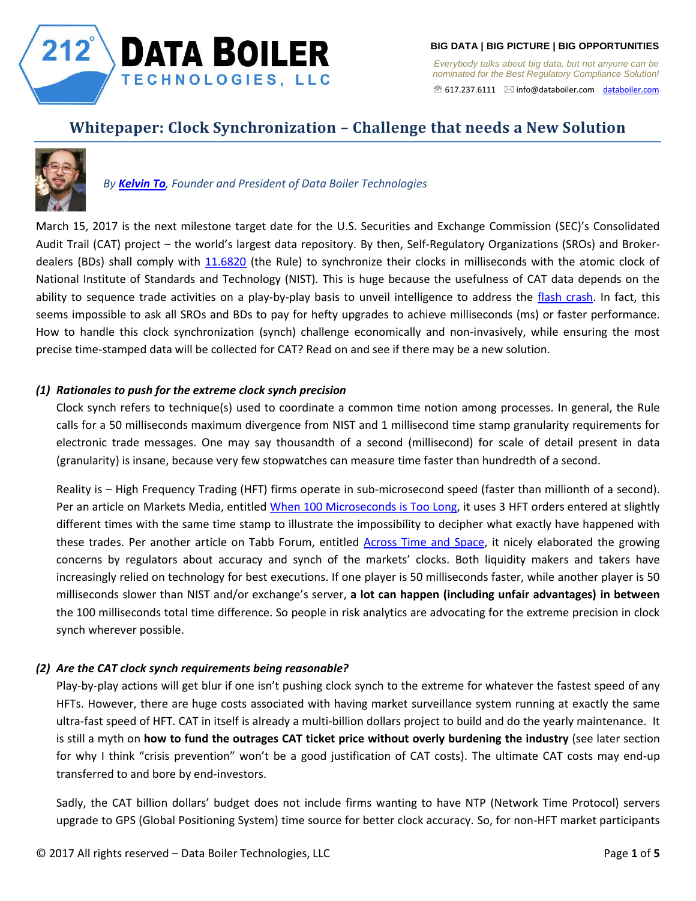

*Everybody talks about big data, but not anyone can be nominated for the Best Regulatory Compliance Solution!*  617.237.6111 [info@databoiler.com](mailto:info@databoiler.com) [databoiler.com](http://www.databoiler.com/)

# **Whitepaper: Clock Synchronization – Challenge that needs a New Solution**



## *By [Kelvin To](https://www.linkedin.com/in/kelvin-to-9125955), Founder and President of Data Boiler Technologies*

March 15, 2017 is the next milestone target date for the U.S. Securities and Exchange Commission (SEC)'s Consolidated Audit Trail (CAT) project – the world's largest data repository. By then, Self-Regulatory Organizations (SROs) and Broker-dealers (BDs) shall comply with [11.6820](https://www.sec.gov/rules/sro/nysearca/2017/34-79909-ex5.pdf) (the Rule) to synchronize their clocks in milliseconds with the atomic clock of National Institute of Standards and Technology (NIST). This is huge because the usefulness of CAT data depends on the ability to sequence trade activities on a play-by-play basis to unveil intelligence to address the [flash crash.](https://en.wikipedia.org/wiki/Flash_crash) In fact, this seems impossible to ask all SROs and BDs to pay for hefty upgrades to achieve milliseconds (ms) or faster performance. How to handle this clock synchronization (synch) challenge economically and non-invasively, while ensuring the most precise time-stamped data will be collected for CAT? Read on and see if there may be a new solution.

## *(1) Rationales to push for the extreme clock synch precision*

Clock synch refers to technique(s) used to coordinate a common time notion among processes. In general, the Rule calls for a 50 milliseconds maximum divergence from NIST and 1 millisecond time stamp granularity requirements for electronic trade messages. One may say thousandth of a second (millisecond) for scale of detail present in data (granularity) is insane, because very few stopwatches can measure time faster than hundredth of a second.

Reality is – High Frequency Trading (HFT) firms operate in sub-microsecond speed (faster than millionth of a second). Per an article on Markets Media, entitled [When 100 Microseconds is Too Long,](http://marketsmedia.com/microseconds-long/) it uses 3 HFT orders entered at slightly different times with the same time stamp to illustrate the impossibility to decipher what exactly have happened with these trades. Per another article on Tabb Forum, entitled [Across Time](http://tabbforum.com/opinions/across-time-and-space-mifid-mar-dodd-frank-and-universal-time) and Space, it nicely elaborated the growing concerns by regulators about accuracy and synch of the markets' clocks. Both liquidity makers and takers have increasingly relied on technology for best executions. If one player is 50 milliseconds faster, while another player is 50 milliseconds slower than NIST and/or exchange's server, **a lot can happen (including unfair advantages) in between**  the 100 milliseconds total time difference. So people in risk analytics are advocating for the extreme precision in clock synch wherever possible.

## *(2) Are the CAT clock synch requirements being reasonable?*

Play-by-play actions will get blur if one isn't pushing clock synch to the extreme for whatever the fastest speed of any HFTs. However, there are huge costs associated with having market surveillance system running at exactly the same ultra-fast speed of HFT. CAT in itself is already a multi-billion dollars project to build and do the yearly maintenance. It is still a myth on **how to fund the outrages CAT ticket price without overly burdening the industry** (see later section for why I think "crisis prevention" won't be a good justification of CAT costs). The ultimate CAT costs may end-up transferred to and bore by end-investors.

Sadly, the CAT billion dollars' budget does not include firms wanting to have NTP (Network Time Protocol) servers upgrade to GPS (Global Positioning System) time source for better clock accuracy. So, for non-HFT market participants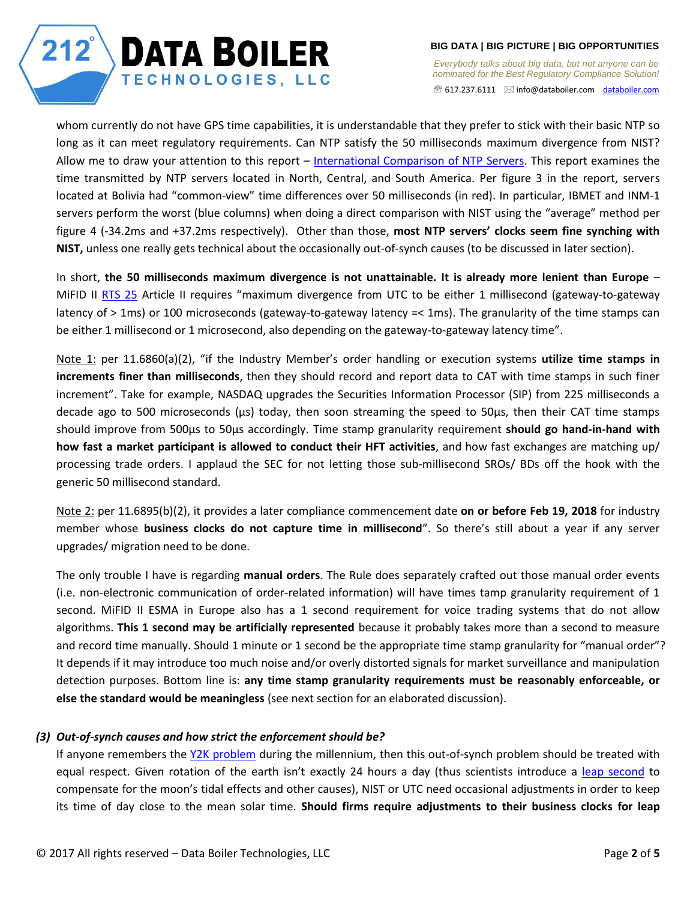*Everybody talks about big data, but not anyone can be nominated for the Best Regulatory Compliance Solution!*  617.237.6111 [info@databoiler.com](mailto:info@databoiler.com) [databoiler.com](http://www.databoiler.com/)

whom currently do not have GPS time capabilities, it is understandable that they prefer to stick with their basic NTP so long as it can meet regulatory requirements. Can NTP satisfy the 50 milliseconds maximum divergence from NIST? Allow me to draw your attention to this report – International [Comparison of NTP Servers.](http://tf.nist.gov/general/pdf/2757.pdf) This report examines the time transmitted by NTP servers located in North, Central, and South America. Per figure 3 in the report, servers located at Bolivia had "common-view" time differences over 50 milliseconds (in red). In particular, IBMET and INM-1 servers perform the worst (blue columns) when doing a direct comparison with NIST using the "average" method per figure 4 (-34.2ms and +37.2ms respectively). Other than those, **most NTP servers' clocks seem fine synching with NIST,** unless one really gets technical about the occasionally out-of-synch causes (to be discussed in later section).

In short, **the 50 milliseconds maximum divergence is not unattainable. It is already more lenient than Europe** – MiFID II [RTS 25](http://ec.europa.eu/finance/securities/docs/isd/mifid/rts/160607-rts-25_en.pdf) Article II requires "maximum divergence from UTC to be either 1 millisecond (gateway-to-gateway latency of > 1ms) or 100 microseconds (gateway-to-gateway latency =< 1ms). The granularity of the time stamps can be either 1 millisecond or 1 microsecond, also depending on the gateway-to-gateway latency time".

Note 1: per 11.6860(a)(2), "if the Industry Member's order handling or execution systems **utilize time stamps in increments finer than milliseconds**, then they should record and report data to CAT with time stamps in such finer increment". Take for example, NASDAQ upgrades the Securities Information Processor (SIP) from 225 milliseconds a decade ago to 500 microseconds (μs) today, then soon streaming the speed to 50μs, then their CAT time stamps should improve from 500μs to 50μs accordingly. Time stamp granularity requirement **should go hand-in-hand with how fast a market participant is allowed to conduct their HFT activities**, and how fast exchanges are matching up/ processing trade orders. I applaud the SEC for not letting those sub-millisecond SROs/ BDs off the hook with the generic 50 millisecond standard.

Note 2: per 11.6895(b)(2), it provides a later compliance commencement date **on or before Feb 19, 2018** for industry member whose **business clocks do not capture time in millisecond**". So there's still about a year if any server upgrades/ migration need to be done.

The only trouble I have is regarding **manual orders**. The Rule does separately crafted out those manual order events (i.e. non-electronic communication of order-related information) will have times tamp granularity requirement of 1 second. MiFID II ESMA in Europe also has a 1 second requirement for voice trading systems that do not allow algorithms. **This 1 second may be artificially represented** because it probably takes more than a second to measure and record time manually. Should 1 minute or 1 second be the appropriate time stamp granularity for "manual order"? It depends if it may introduce too much noise and/or overly distorted signals for market surveillance and manipulation detection purposes. Bottom line is: **any time stamp granularity requirements must be reasonably enforceable, or else the standard would be meaningless** (see next section for an elaborated discussion).

## *(3) Out-of-synch causes and how strict the enforcement should be?*

**DATA BOILER** 

TECHNOLOGIES, LLC

If anyone remembers the [Y2K problem](https://en.wikipedia.org/wiki/Year_2000_problem) during the millennium, then this out-of-synch problem should be treated with equal respect. Given rotation of the earth isn't exactly 24 hours a day (thus scientists introduce a [leap second](https://en.wikipedia.org/wiki/Leap_second) to compensate for the moon's tidal effects and other causes), NIST or UTC need occasional adjustments in order to keep its time of day close to the mean solar time. **Should firms require adjustments to their business clocks for leap** 

 $212^{\degree}$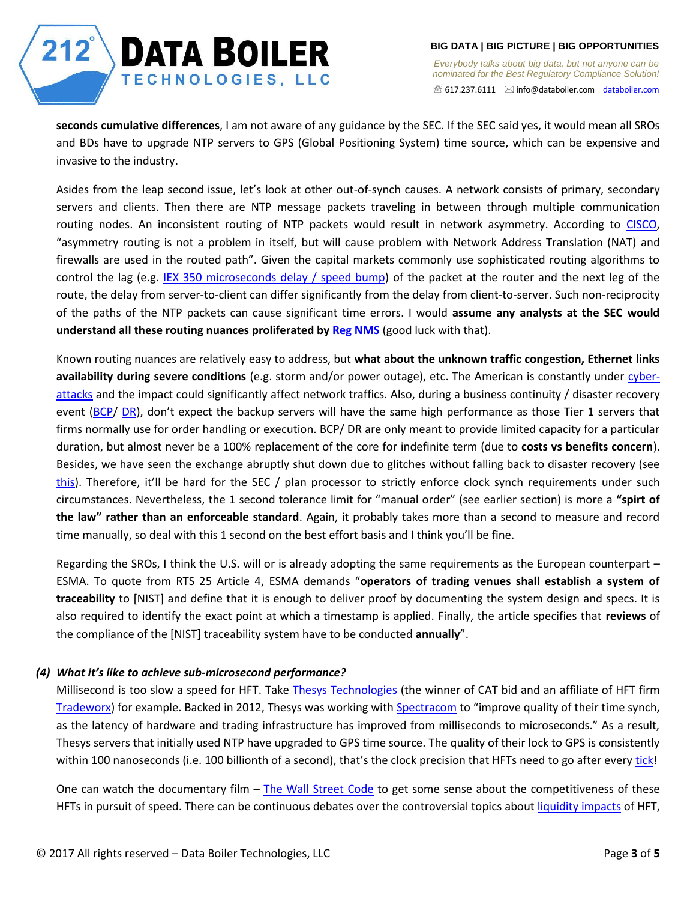*Everybody talks about big data, but not anyone can be nominated for the Best Regulatory Compliance Solution!*  617.237.6111 [info@databoiler.com](mailto:info@databoiler.com) [databoiler.com](http://www.databoiler.com/)

**seconds cumulative differences**, I am not aware of any guidance by the SEC. If the SEC said yes, it would mean all SROs and BDs have to upgrade NTP servers to GPS (Global Positioning System) time source, which can be expensive and invasive to the industry.

Asides from the leap second issue, let's look at other out-of-synch causes. A network consists of primary, secondary servers and clients. Then there are NTP message packets traveling in between through multiple communication routing nodes. An inconsistent routing of NTP packets would result in network asymmetry. According to [CISCO,](http://www.cisco.com/web/services/news/ts_newsletter/tech/chalktalk/archives/200903.html) "asymmetry routing is not a problem in itself, but will cause problem with Network Address Translation (NAT) and firewalls are used in the routed path". Given the capital markets commonly use sophisticated routing algorithms to control the lag (e.g. [IEX 350 microseconds delay / speed bump\)](http://www.pionline.com/article/20160711/PRINT/307119980/the-350-microsecond-trading-question) of the packet at the router and the next leg of the route, the delay from server-to-client can differ significantly from the delay from client-to-server. Such non-reciprocity of the paths of the NTP packets can cause significant time errors. I would **assume any analysts at the SEC would understand all these routing nuances proliferated b[y Reg NMS](https://qz.com/662009/the-sec-tried-to-fix-a-finance-problem-and-created-a-computer-science-problem-instead/)** (good luck with that).

Known routing nuances are relatively easy to address, but **what about the unknown traffic congestion, Ethernet links availability during severe conditions** (e.g. storm and/or power outage), etc. The American is constantly under [cyber](http://www.welivesecurity.com/2015/09/09/cybercrime-growing-concern-americans/)[attacks](http://www.welivesecurity.com/2015/09/09/cybercrime-growing-concern-americans/) and the impact could significantly affect network traffics. Also, during a business continuity / disaster recovery event [\(BCP/](https://en.wikipedia.org/wiki/Business_continuity) [DR\)](https://en.wikipedia.org/wiki/Disaster_recovery), don't expect the backup servers will have the same high performance as those Tier 1 servers that firms normally use for order handling or execution. BCP/ DR are only meant to provide limited capacity for a particular duration, but almost never be a 100% replacement of the core for indefinite term (due to **costs vs benefits concern**). Besides, we have seen the exchange abruptly shut down due to glitches without falling back to disaster recovery (see [this\)](https://www.theguardian.com/business/live/2015/jul/08/new-york-stock-exchange-wall-street). Therefore, it'll be hard for the SEC / plan processor to strictly enforce clock synch requirements under such circumstances. Nevertheless, the 1 second tolerance limit for "manual order" (see earlier section) is more a **"spirt of the law" rather than an enforceable standard**. Again, it probably takes more than a second to measure and record time manually, so deal with this 1 second on the best effort basis and I think you'll be fine.

Regarding the SROs, I think the U.S. will or is already adopting the same requirements as the European counterpart – ESMA. To quote from RTS 25 Article 4, ESMA demands "**operators of trading venues shall establish a system of traceability** to [NIST] and define that it is enough to deliver proof by documenting the system design and specs. It is also required to identify the exact point at which a timestamp is applied. Finally, the article specifies that **reviews** of the compliance of the [NIST] traceability system have to be conducted **annually**".

## *(4) What it's like to achieve sub-microsecond performance?*

 $212^{\degree}$ 

**DATA BOILER** 

**TECHNOLOGIES, LLC** 

Millisecond is too slow a speed for HFT. Take [Thesys Technologies](http://www.thesystech.com/) (the winner of CAT bid and an affiliate of HFT firm [Tradeworx\)](http://www.tradeworx.com/) for example. Backed in 2012, Thesys was working with [Spectracom](https://spectracom.com/sites/default/files/document-files/ThesysTechnologies_SS12-101_revA.pdf) to "improve quality of their time synch, as the latency of hardware and trading infrastructure has improved from milliseconds to microseconds." As a result, Thesys servers that initially used NTP have upgraded to GPS time source. The quality of their lock to GPS is consistently within 100 nanoseconds (i.e. 100 billionth of a second), that's the clock precision that HFTs need to go after ever[y tick!](http://www.investopedia.com/terms/t/tick.asp)

One can watch the documentary film – [The Wall Street Code](http://topdocumentaryfilms.com/wall-street-code/) to get some sense about the competitiveness of these HFTs in pursuit of speed. There can be continuous debates over the controversial topics about [liquidity impacts](http://www.amf-france.org/en_US/Publications/Lettres-et-cahiers/Risques-et-tendances/Archives.html?docId=workspace%3A%2F%2FSpacesStore%2F619a82db-11ea-4544-a03e-991b7af2864d) of HFT,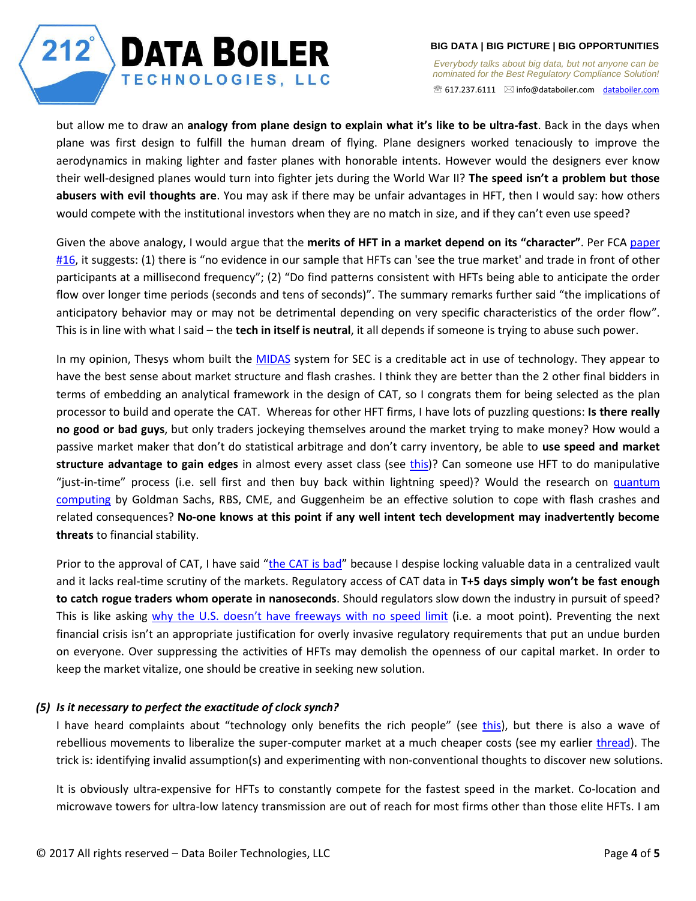*Everybody talks about big data, but not anyone can be nominated for the Best Regulatory Compliance Solution!*  617.237.6111 [info@databoiler.com](mailto:info@databoiler.com) [databoiler.com](http://www.databoiler.com/)

but allow me to draw an **analogy from plane design to explain what it's like to be ultra-fast**. Back in the days when plane was first design to fulfill the human dream of flying. Plane designers worked tenaciously to improve the aerodynamics in making lighter and faster planes with honorable intents. However would the designers ever know their well-designed planes would turn into fighter jets during the World War II? **The speed isn't a problem but those abusers with evil thoughts are**. You may ask if there may be unfair advantages in HFT, then I would say: how others would compete with the institutional investors when they are no match in size, and if they can't even use speed?

Given the above analogy, I would argue that the **merits of HFT in a market depend on its "character"**. Per FCA [paper](https://www.fca.org.uk/publications/occasional-papers/occasional-paper-no-16-are-high-frequency-traders-anticipating-order)  [#16,](https://www.fca.org.uk/publications/occasional-papers/occasional-paper-no-16-are-high-frequency-traders-anticipating-order) it suggests: (1) there is "no evidence in our sample that HFTs can 'see the true market' and trade in front of other participants at a millisecond frequency"; (2) "Do find patterns consistent with HFTs being able to anticipate the order flow over longer time periods (seconds and tens of seconds)". The summary remarks further said "the implications of anticipatory behavior may or may not be detrimental depending on very specific characteristics of the order flow". This is in line with what I said – the **tech in itself is neutral**, it all depends if someone is trying to abuse such power.

In my opinion, Thesys whom built the [MIDAS](https://www.sec.gov/marketstructure/midas.html#.WJo3dfkrJbV) system for SEC is a creditable act in use of technology. They appear to have the best sense about market structure and flash crashes. I think they are better than the 2 other final bidders in terms of embedding an analytical framework in the design of CAT, so I congrats them for being selected as the plan processor to build and operate the CAT. Whereas for other HFT firms, I have lots of puzzling questions: **Is there really no good or bad guys**, but only traders jockeying themselves around the market trying to make money? How would a passive market maker that don't do statistical arbitrage and don't carry inventory, be able to **use speed and market structure advantage to gain edges** in almost every asset class (see [this\)](https://www.bloomberg.com/news/features/2016-08-11/virtu-never-loses-well-almost-never-in-quest-to-upend-markets)? Can someone use HFT to do manipulative "just-in-time" process (i.e. sell first and then buy back within lightning speed)? Would the research on quantum [computing](https://www.bloomberg.com/news/articles/2015-12-09/quantum-supercomputers-entice-wall-street-vowing-higher-returns) by Goldman Sachs, RBS, CME, and Guggenheim be an effective solution to cope with flash crashes and related consequences? **No-one knows at this point if any well intent tech development may inadvertently become threats** to financial stability.

Prior to the approval of CAT, I have said "[the CAT is bad](http://tabbforum.com/opinions/why-the-cat-is-a-bad-idea)" because I despise locking valuable data in a centralized vault and it lacks real-time scrutiny of the markets. Regulatory access of CAT data in **T+5 days simply won't be fast enough to catch rogue traders whom operate in nanoseconds**. Should regulators slow down the industry in pursuit of speed? This is like asking [why the U.S. doesn't have freeways with no speed limit](https://www.quora.com/Why-doesnt-the-U-S-have-freeways-with-no-general-speed-limit-like-the-German-Autobahn) (i.e. a moot point). Preventing the next financial crisis isn't an appropriate justification for overly invasive regulatory requirements that put an undue burden on everyone. Over suppressing the activities of HFTs may demolish the openness of our capital market. In order to keep the market vitalize, one should be creative in seeking new solution.

## *(5) Is it necessary to perfect the exactitude of clock synch?*

 $212^{\degree}$ 

**DATA BOILER** 

**TECHNOLOGIES, LLC** 

I have heard complaints about "technology only benefits the rich people" (see [this\)](https://www.theatlantic.com/technology/archive/2016/03/half-full-tech/476025/), but there is also a wave of rebellious movements to liberalize the super-computer market at a much cheaper costs (see my earlier [thread\)](http://www.databoiler.com/charge%20forward.htm). The trick is: identifying invalid assumption(s) and experimenting with non-conventional thoughts to discover new solutions.

It is obviously ultra-expensive for HFTs to constantly compete for the fastest speed in the market. Co-location and microwave towers for ultra-low latency transmission are out of reach for most firms other than those elite HFTs. I am